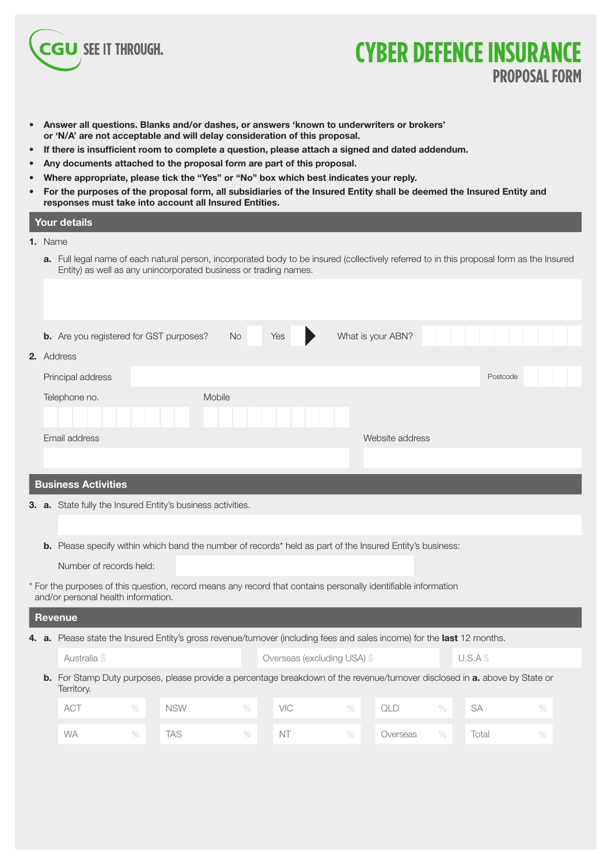

## **CYBER DEFENCE INSURANCE PROPOSAL FORM**

- **Answer all questions. Blanks and/or dashes, or answers 'known to underwriters or brokers' or 'N/A' are not acceptable and will delay consideration of this proposal.**
- **If there is insufficient room to complete a question, please attach a signed and dated addendum.**
- **Any documents attached to the proposal form are part of this proposal.**
- **Where appropriate, please tick the "Yes" or "No" box which best indicates your reply.**
- **For the purposes of the proposal form, all subsidiaries of the Insured Entity shall be deemed the Insured Entity and responses must take into account all Insured Entities.**

### **Your details 1.** Name

**a.** Full legal name of each natural person, incorporated body to be insured (collectively referred to in this proposal form as the Insured Entity) as well as any unincorporated business or trading names.

|    |                            | <b>b.</b> Are you registered for GST purposes?                                                         | <b>No</b> | Yes | What is your ABN? |          |  |
|----|----------------------------|--------------------------------------------------------------------------------------------------------|-----------|-----|-------------------|----------|--|
|    | 2. Address                 |                                                                                                        |           |     |                   |          |  |
|    | Principal address          |                                                                                                        |           |     |                   | Postcode |  |
|    | Telephone no.              |                                                                                                        | Mobile    |     |                   |          |  |
|    |                            |                                                                                                        |           |     |                   |          |  |
|    | Email address              |                                                                                                        |           |     | Website address   |          |  |
|    |                            |                                                                                                        |           |     |                   |          |  |
|    | <b>Business Activities</b> |                                                                                                        |           |     |                   |          |  |
|    |                            | <b>3. a.</b> State fully the Insured Entity's business activities.                                     |           |     |                   |          |  |
|    |                            |                                                                                                        |           |     |                   |          |  |
| b. |                            | Please specify within which band the number of records* held as part of the Insured Entity's business: |           |     |                   |          |  |
|    |                            |                                                                                                        |           |     |                   |          |  |

- Number of records held:
- \* For the purposes of this question, record means any record that contains personally identifiable information and/or personal health information.

### **Revenue 4. a.** Please state the Insured Entity's gross revenue/turnover (including fees and sales income) for the **last** 12 months. Australia \$ U.S.A \$ Overseas (excluding USA) \$ U.S.A \$ **b.** For Stamp Duty purposes, please provide a percentage breakdown of the revenue/turnover disclosed in **a.** above by State or Territory. ACT % NSW % VIC % QLD % SA % WA % TAS % NT % Overseas % Total %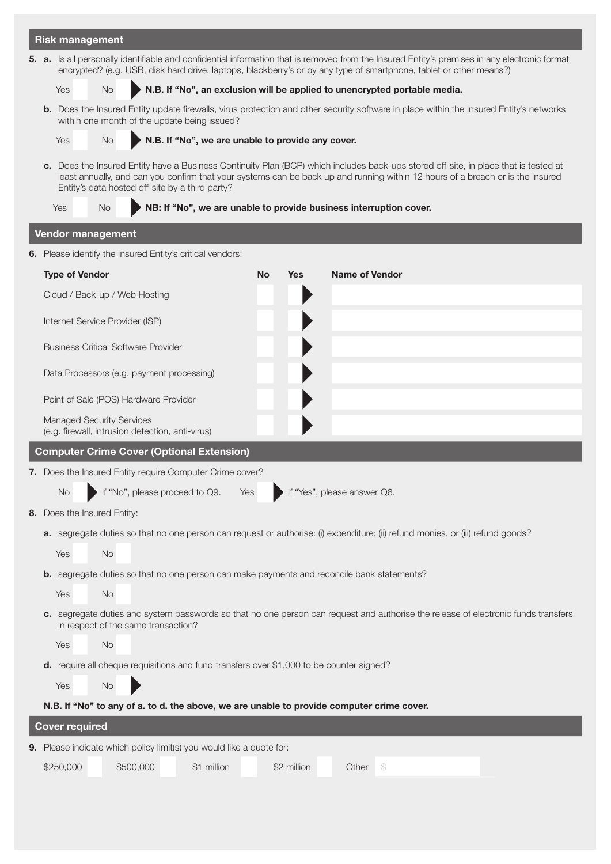|  | <b>Risk management</b>                                                                                                                                                                                                                                                                                                    |  |  |  |  |  |  |  |
|--|---------------------------------------------------------------------------------------------------------------------------------------------------------------------------------------------------------------------------------------------------------------------------------------------------------------------------|--|--|--|--|--|--|--|
|  | 5. a. Is all personally identifiable and confidential information that is removed from the Insured Entity's premises in any electronic format<br>encrypted? (e.g. USB, disk hard drive, laptops, blackberry's or by any type of smartphone, tablet or other means?)                                                       |  |  |  |  |  |  |  |
|  | N.B. If "No", an exclusion will be applied to unencrypted portable media.<br>No.                                                                                                                                                                                                                                          |  |  |  |  |  |  |  |
|  | b. Does the Insured Entity update firewalls, virus protection and other security software in place within the Insured Entity's networks<br>within one month of the update being issued?                                                                                                                                   |  |  |  |  |  |  |  |
|  | N.B. If "No", we are unable to provide any cover.<br>No.                                                                                                                                                                                                                                                                  |  |  |  |  |  |  |  |
|  | c. Does the Insured Entity have a Business Continuity Plan (BCP) which includes back-ups stored off-site, in place that is tested at<br>least annually, and can you confirm that your systems can be back up and running within 12 hours of a breach or is the Insured<br>Entity's data hosted off-site by a third party? |  |  |  |  |  |  |  |
|  | NB: If "No", we are unable to provide business interruption cover.<br>Yes<br>No.                                                                                                                                                                                                                                          |  |  |  |  |  |  |  |
|  | <b>Vendor management</b>                                                                                                                                                                                                                                                                                                  |  |  |  |  |  |  |  |
|  | 6. Please identify the Insured Entity's critical vendors:                                                                                                                                                                                                                                                                 |  |  |  |  |  |  |  |
|  | <b>Type of Vendor</b><br><b>No</b><br><b>Name of Vendor</b><br><b>Yes</b>                                                                                                                                                                                                                                                 |  |  |  |  |  |  |  |
|  | Cloud / Back-up / Web Hosting                                                                                                                                                                                                                                                                                             |  |  |  |  |  |  |  |
|  | Internet Service Provider (ISP)                                                                                                                                                                                                                                                                                           |  |  |  |  |  |  |  |
|  | <b>Business Critical Software Provider</b>                                                                                                                                                                                                                                                                                |  |  |  |  |  |  |  |
|  | Data Processors (e.g. payment processing)                                                                                                                                                                                                                                                                                 |  |  |  |  |  |  |  |
|  | Point of Sale (POS) Hardware Provider                                                                                                                                                                                                                                                                                     |  |  |  |  |  |  |  |
|  | <b>Managed Security Services</b><br>(e.g. firewall, intrusion detection, anti-virus)                                                                                                                                                                                                                                      |  |  |  |  |  |  |  |
|  | <b>Computer Crime Cover (Optional Extension)</b>                                                                                                                                                                                                                                                                          |  |  |  |  |  |  |  |
|  | 7. Does the Insured Entity require Computer Crime cover?                                                                                                                                                                                                                                                                  |  |  |  |  |  |  |  |
|  | If "No", please proceed to Q9. Yes<br>No<br>If "Yes", please answer Q8.                                                                                                                                                                                                                                                   |  |  |  |  |  |  |  |
|  | 8. Does the Insured Entity:                                                                                                                                                                                                                                                                                               |  |  |  |  |  |  |  |
|  | a. segregate duties so that no one person can request or authorise: (i) expenditure; (ii) refund monies, or (iii) refund goods?                                                                                                                                                                                           |  |  |  |  |  |  |  |
|  | No<br>Yes                                                                                                                                                                                                                                                                                                                 |  |  |  |  |  |  |  |
|  | <b>b.</b> segregate duties so that no one person can make payments and reconcile bank statements?                                                                                                                                                                                                                         |  |  |  |  |  |  |  |
|  | No<br>Yes                                                                                                                                                                                                                                                                                                                 |  |  |  |  |  |  |  |
|  | c. segregate duties and system passwords so that no one person can request and authorise the release of electronic funds transfers<br>in respect of the same transaction?                                                                                                                                                 |  |  |  |  |  |  |  |
|  | No<br>Yes                                                                                                                                                                                                                                                                                                                 |  |  |  |  |  |  |  |
|  | d. require all cheque requisitions and fund transfers over \$1,000 to be counter signed?                                                                                                                                                                                                                                  |  |  |  |  |  |  |  |
|  | Yes<br><b>No</b>                                                                                                                                                                                                                                                                                                          |  |  |  |  |  |  |  |
|  | N.B. If "No" to any of a. to d. the above, we are unable to provide computer crime cover.                                                                                                                                                                                                                                 |  |  |  |  |  |  |  |
|  | <b>Cover required</b>                                                                                                                                                                                                                                                                                                     |  |  |  |  |  |  |  |
|  | 9. Please indicate which policy limit(s) you would like a quote for:                                                                                                                                                                                                                                                      |  |  |  |  |  |  |  |
|  | \$250,000<br>\$1 million<br>\$500,000<br>\$2 million<br>Other \$                                                                                                                                                                                                                                                          |  |  |  |  |  |  |  |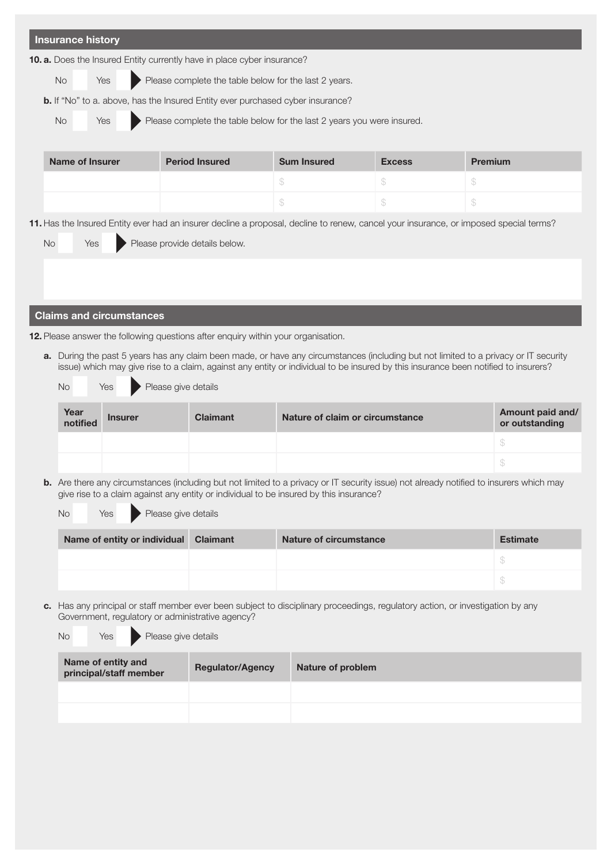| <b>Insurance history</b>                                                                                                              |                               |                                                       |                                                                                                                                    |               |                                                                                                                                         |
|---------------------------------------------------------------------------------------------------------------------------------------|-------------------------------|-------------------------------------------------------|------------------------------------------------------------------------------------------------------------------------------------|---------------|-----------------------------------------------------------------------------------------------------------------------------------------|
| 10. a. Does the Insured Entity currently have in place cyber insurance?                                                               |                               |                                                       |                                                                                                                                    |               |                                                                                                                                         |
| <b>No</b><br>Yes                                                                                                                      |                               | Please complete the table below for the last 2 years. |                                                                                                                                    |               |                                                                                                                                         |
| b. If "No" to a. above, has the Insured Entity ever purchased cyber insurance?                                                        |                               |                                                       |                                                                                                                                    |               |                                                                                                                                         |
| <b>No</b><br>Yes                                                                                                                      |                               |                                                       | Please complete the table below for the last 2 years you were insured.                                                             |               |                                                                                                                                         |
| <b>Name of Insurer</b>                                                                                                                |                               | <b>Period Insured</b>                                 | <b>Sum Insured</b>                                                                                                                 | <b>Excess</b> | <b>Premium</b>                                                                                                                          |
|                                                                                                                                       |                               |                                                       | \$                                                                                                                                 | \$            | \$                                                                                                                                      |
|                                                                                                                                       |                               |                                                       | \$                                                                                                                                 | \$            | \$                                                                                                                                      |
| 11. Has the Insured Entity ever had an insurer decline a proposal, decline to renew, cancel your insurance, or imposed special terms? |                               |                                                       |                                                                                                                                    |               |                                                                                                                                         |
| <b>No</b><br>Yes                                                                                                                      | Please provide details below. |                                                       |                                                                                                                                    |               |                                                                                                                                         |
|                                                                                                                                       |                               |                                                       |                                                                                                                                    |               |                                                                                                                                         |
|                                                                                                                                       |                               |                                                       |                                                                                                                                    |               |                                                                                                                                         |
| <b>Claims and circumstances</b>                                                                                                       |                               |                                                       |                                                                                                                                    |               |                                                                                                                                         |
| 12. Please answer the following questions after enquiry within your organisation.                                                     |                               |                                                       |                                                                                                                                    |               |                                                                                                                                         |
|                                                                                                                                       |                               |                                                       |                                                                                                                                    |               |                                                                                                                                         |
|                                                                                                                                       |                               |                                                       |                                                                                                                                    |               | a. During the past 5 years has any claim been made, or have any circumstances (including but not limited to a privacy or IT security    |
|                                                                                                                                       |                               |                                                       | issue) which may give rise to a claim, against any entity or individual to be insured by this insurance been notified to insurers? |               |                                                                                                                                         |
| <b>No</b><br>Yes                                                                                                                      | Please give details           |                                                       |                                                                                                                                    |               |                                                                                                                                         |
| Year<br><b>Insurer</b><br>notified                                                                                                    |                               | <b>Claimant</b>                                       | Nature of claim or circumstance                                                                                                    |               | Amount paid and/<br>or outstanding                                                                                                      |
|                                                                                                                                       |                               |                                                       |                                                                                                                                    |               | $\mathbb{S}$                                                                                                                            |
|                                                                                                                                       |                               |                                                       |                                                                                                                                    |               | \$                                                                                                                                      |
|                                                                                                                                       |                               |                                                       | give rise to a claim against any entity or individual to be insured by this insurance?                                             |               | b. Are there any circumstances (including but not limited to a privacy or IT security issue) not already notified to insurers which may |
| <b>No</b><br>Yes                                                                                                                      | Please give details           |                                                       |                                                                                                                                    |               |                                                                                                                                         |
| Name of entity or individual                                                                                                          |                               | <b>Claimant</b>                                       | <b>Nature of circumstance</b>                                                                                                      |               | <b>Estimate</b>                                                                                                                         |
|                                                                                                                                       |                               |                                                       |                                                                                                                                    |               | $\mathbb S$                                                                                                                             |
|                                                                                                                                       |                               |                                                       |                                                                                                                                    |               | $\mathcal{L}$                                                                                                                           |
| Government, regulatory or administrative agency?                                                                                      |                               |                                                       | c. Has any principal or staff member ever been subject to disciplinary proceedings, regulatory action, or investigation by any     |               |                                                                                                                                         |
| <b>No</b><br>Yes<br>Name of entity and                                                                                                | Please give details           |                                                       |                                                                                                                                    |               |                                                                                                                                         |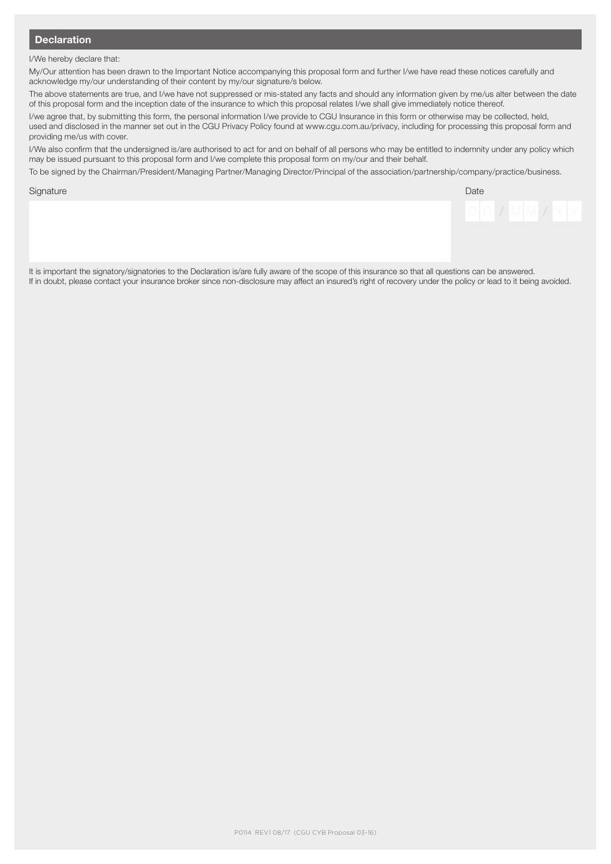### **Declaration**

I/We hereby declare that:

My/Our attention has been drawn to the Important Notice accompanying this proposal form and further I/we have read these notices carefully and acknowledge my/our understanding of their content by my/our signature/s below.

The above statements are true, and I/we have not suppressed or mis-stated any facts and should any information given by me/us alter between the date of this proposal form and the inception date of the insurance to which this proposal relates I/we shall give immediately notice thereof.

I/we agree that, by submitting this form, the personal information I/we provide to CGU Insurance in this form or otherwise may be collected, held, used and disclosed in the manner set out in the CGU Privacy Policy found at www.cgu.com.au/privacy, including for processing this proposal form and providing me/us with cover.

I/We also confirm that the undersigned is/are authorised to act for and on behalf of all persons who may be entitled to indemnity under any policy which may be issued pursuant to this proposal form and I/we complete this proposal form on my/our and their behalf.

To be signed by the Chairman/President/Managing Partner/Managing Director/Principal of the association/partnership/company/practice/business.

Signature **Date of the Contract of Contract Contract of Contract Contract Contract Only and Date Contract Only** 



It is important the signatory/signatories to the Declaration is/are fully aware of the scope of this insurance so that all questions can be answered. If in doubt, please contact your insurance broker since non-disclosure may affect an insured's right of recovery under the policy or lead to it being avoided.